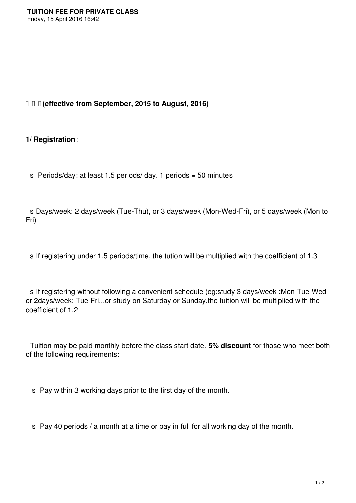## **(effective from September, 2015 to August, 2016)**

## **1/ Registration**:

s Periods/day: at least 1.5 periods/ day. 1 periods =  $50$  minutes

 s Days/week: 2 days/week (Tue-Thu), or 3 days/week (Mon-Wed-Fri), or 5 days/week (Mon to Fri)

s If registering under 1.5 periods/time, the tution will be multiplied with the coefficient of 1.3

 s If registering without following a convenient schedule (eg:study 3 days/week :Mon-Tue-Wed or 2days/week: Tue-Fri...or study on Saturday or Sunday,the tuition will be multiplied with the coefficient of 1.2

- Tuition may be paid monthly before the class start date. **5% discount** for those who meet both of the following requirements:

s Pay within 3 working days prior to the first day of the month.

s Pay 40 periods / a month at a time or pay in full for all working day of the month.